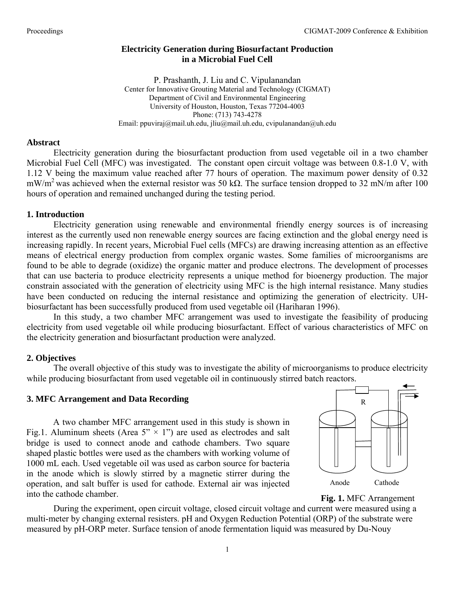## **Electricity Generation during Biosurfactant Production in a Microbial Fuel Cell**

P. Prashanth, J. Liu and C. Vipulanandan Center for Innovative Grouting Material and Technology (CIGMAT) Department of Civil and Environmental Engineering University of Houston, Houston, Texas 77204-4003 Phone: (713) 743-4278 Email: ppuviraj@mail.uh.edu, jliu@mail.uh.edu, cvipulanandan@uh.edu

### **Abstract**

Electricity generation during the biosurfactant production from used vegetable oil in a two chamber Microbial Fuel Cell (MFC) was investigated. The constant open circuit voltage was between 0.8-1.0 V, with 1.12 V being the maximum value reached after 77 hours of operation. The maximum power density of 0.32 mW/m<sup>2</sup> was achieved when the external resistor was 50 k $\Omega$ . The surface tension dropped to 32 mN/m after 100 hours of operation and remained unchanged during the testing period.

### **1. Introduction**

Electricity generation using renewable and environmental friendly energy sources is of increasing interest as the currently used non renewable energy sources are facing extinction and the global energy need is increasing rapidly. In recent years, Microbial Fuel cells (MFCs) are drawing increasing attention as an effective means of electrical energy production from complex organic wastes. Some families of microorganisms are found to be able to degrade (oxidize) the organic matter and produce electrons. The development of processes that can use bacteria to produce electricity represents a unique method for bioenergy production. The major constrain associated with the generation of electricity using MFC is the high internal resistance. Many studies have been conducted on reducing the internal resistance and optimizing the generation of electricity. UHbiosurfactant has been successfully produced from used vegetable oil (Hariharan 1996).

In this study, a two chamber MFC arrangement was used to investigate the feasibility of producing electricity from used vegetable oil while producing biosurfactant. Effect of various characteristics of MFC on the electricity generation and biosurfactant production were analyzed.

### **2. Objectives**

The overall objective of this study was to investigate the ability of microorganisms to produce electricity while producing biosurfactant from used vegetable oil in continuously stirred batch reactors.

### **3. MFC Arrangement and Data Recording**

A two chamber MFC arrangement used in this study is shown in Fig.1. Aluminum sheets (Area  $5'' \times 1''$ ) are used as electrodes and salt bridge is used to connect anode and cathode chambers. Two square shaped plastic bottles were used as the chambers with working volume of 1000 mL each. Used vegetable oil was used as carbon source for bacteria in the anode which is slowly stirred by a magnetic stirrer during the operation, and salt buffer is used for cathode. External air was injected into the cathode chamber.



**Fig. 1.** MFC Arrangement

During the experiment, open circuit voltage, closed circuit voltage and current were measured using a multi-meter by changing external resisters. pH and Oxygen Reduction Potential (ORP) of the substrate were measured by pH-ORP meter. Surface tension of anode fermentation liquid was measured by Du-Nouy